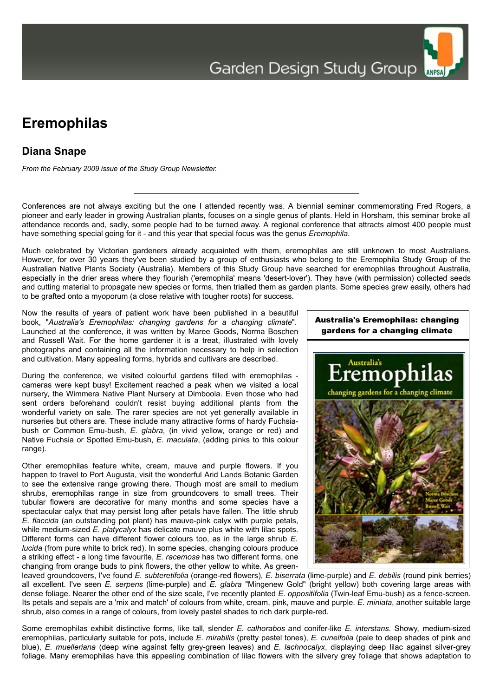## **Eremophilas**

## **Diana Snape**

*From the February 2009 issue of the Study Group Newsletter.*

Conferences are not always exciting but the one I attended recently was. A biennial seminar commemorating Fred Rogers, a pioneer and early leader in growing Australian plants, focuses on a single genus of plants. Held in Horsham, this seminar broke all attendance records and, sadly, some people had to be turned away. A regional conference that attracts almost 400 people must have something special going for it - and this year that special focus was the genus *Eremophila*.

Much celebrated by Victorian gardeners already acquainted with them, eremophilas are still unknown to most Australians. However, for over 30 years they've been studied by a group of enthusiasts who belong to the Eremophila Study Group of the Australian Native Plants Society (Australia). Members of this Study Group have searched for eremophilas throughout Australia, especially in the drier areas where they flourish ('eremophila' means 'desert-lover'). They have (with permission) collected seeds and cutting material to propagate new species or forms, then trialled them as garden plants. Some species grew easily, others had to be grafted onto a myoporum (a close relative with tougher roots) for success.

Now the results of years of patient work have been published in a beautiful book, "*Australia's Eremophilas: changing gardens for a changing climate*". Launched at the conference, it was written by Maree Goods, Norma Boschen and Russell Wait. For the home gardener it is a treat, illustrated with lovely photographs and containing all the information necessary to help in selection and cultivation. Many appealing forms, hybrids and cultivars are described.

During the conference, we visited colourful gardens filled with eremophilas cameras were kept busy! Excitement reached a peak when we visited a local nursery, the Wimmera Native Plant Nursery at Dimboola. Even those who had sent orders beforehand couldn't resist buying additional plants from the wonderful variety on sale. The rarer species are not yet generally available in nurseries but others are. These include many attractive forms of hardy Fuchsiabush or Common Emu-bush, *E. glabra*, (in vivid yellow, orange or red) and Native Fuchsia or Spotted Emu-bush, *E. maculata*, (adding pinks to this colour range).

Other eremophilas feature white, cream, mauve and purple flowers. If you happen to travel to Port Augusta, visit the wonderful Arid Lands Botanic Garden to see the extensive range growing there. Though most are small to medium shrubs, eremophilas range in size from groundcovers to small trees. Their tubular flowers are decorative for many months and some species have a spectacular calyx that may persist long after petals have fallen. The little shrub *E. flaccida* (an outstanding pot plant) has mauve-pink calyx with purple petals, while medium-sized *E. platycalyx* has delicate mauve plus white with lilac spots. Different forms can have different flower colours too, as in the large shrub *E. lucida* (from pure white to brick red). In some species, changing colours produce a striking effect - a long time favourite, *E. racemosa* has two different forms, one changing from orange buds to pink flowers, the other yellow to white. As green-



leaved groundcovers, I've found *E. subteretifolia* (orange-red flowers), *E. biserrata* (lime-purple) and *E. debilis* (round pink berries) all excellent. I've seen *E. serpens* (lime-purple) and *E. glabra* "Mingenew Gold" (bright yellow) both covering large areas with dense foliage. Nearer the other end of the size scale, I've recently planted *E. oppositifolia* (Twin-leaf Emu-bush) as a fence-screen. Its petals and sepals are a 'mix and match' of colours from white, cream, pink, mauve and purple. *E. miniata*, another suitable large shrub, also comes in a range of colours, from lovely pastel shades to rich dark purple-red.

Some eremophilas exhibit distinctive forms, like tall, slender *E. calhorabos* and conifer-like *E. interstans*. Showy, medium-sized eremophilas, particularly suitable for pots, include *E. mirabilis* (pretty pastel tones), *E. cuneifolia* (pale to deep shades of pink and blue), *E. muelleriana* (deep wine against felty grey-green leaves) and *E. lachnocalyx*, displaying deep lilac against silver-grey foliage. Many eremophilas have this appealing combination of lilac flowers with the silvery grey foliage that shows adaptation to